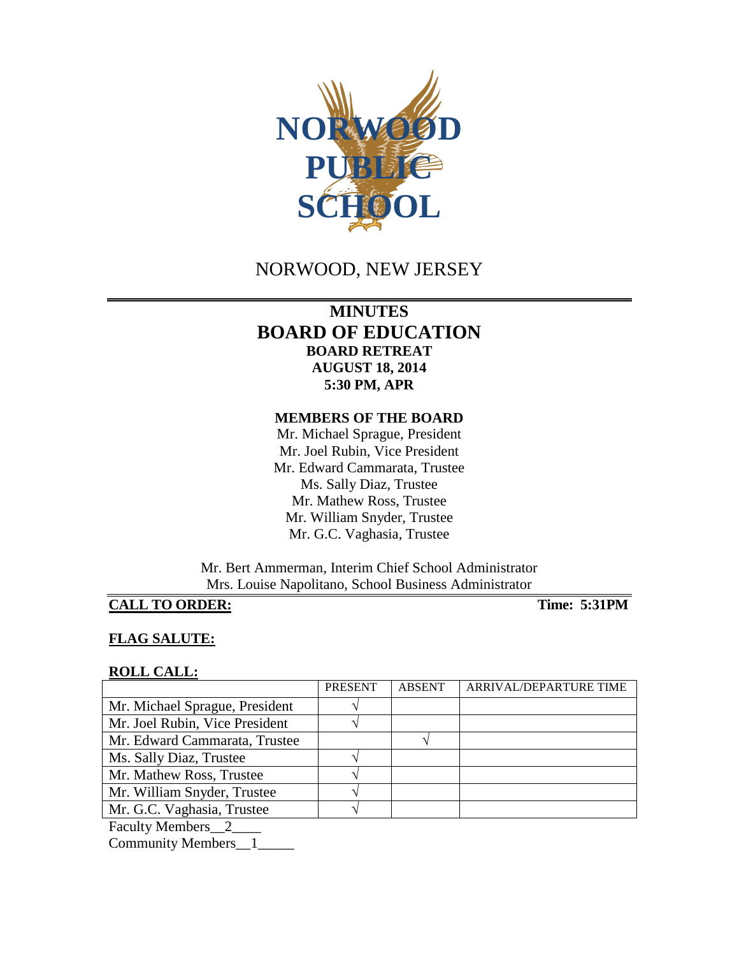

# NORWOOD, NEW JERSEY

## **MINUTES BOARD OF EDUCATION BOARD RETREAT AUGUST 18, 2014 5:30 PM, APR**

#### **MEMBERS OF THE BOARD**

Mr. Michael Sprague, President Mr. Joel Rubin, Vice President Mr. Edward Cammarata, Trustee Ms. Sally Diaz, Trustee Mr. Mathew Ross, Trustee Mr. William Snyder, Trustee Mr. G.C. Vaghasia, Trustee

Mr. Bert Ammerman, Interim Chief School Administrator Mrs. Louise Napolitano, School Business Administrator

## **CALL TO ORDER: Time: 5:31PM**

## **FLAG SALUTE:**

#### **ROLL CALL:**

|                                | <b>PRESENT</b> | <b>ABSENT</b> | ARRIVAL/DEPARTURE TIME |
|--------------------------------|----------------|---------------|------------------------|
| Mr. Michael Sprague, President |                |               |                        |
| Mr. Joel Rubin, Vice President |                |               |                        |
| Mr. Edward Cammarata, Trustee  |                |               |                        |
| Ms. Sally Diaz, Trustee        |                |               |                        |
| Mr. Mathew Ross, Trustee       |                |               |                        |
| Mr. William Snyder, Trustee    |                |               |                        |
| Mr. G.C. Vaghasia, Trustee     |                |               |                        |
| Faculty Members 2              |                |               |                        |

Community Members\_\_1\_\_\_\_\_